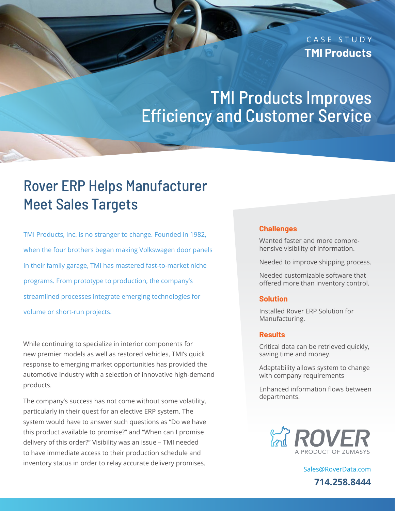### CASE STUDY **TMI Products**

# TMI Products Improves Efficiency and Customer Service

## Rover ERP Helps Manufacturer Meet Sales Targets

TMI Products, Inc. is no stranger to change. Founded in 1982, when the four brothers began making Volkswagen door panels in their family garage, TMI has mastered fast-to-market niche programs. From prototype to production, the company's streamlined processes integrate emerging technologies for volume or short-run projects.

While continuing to specialize in interior components for new premier models as well as restored vehicles, TMI's quick response to emerging market opportunities has provided the automotive industry with a selection of innovative high-demand products.

The company's success has not come without some volatility, particularly in their quest for an elective ERP system. The system would have to answer such questions as "Do we have this product available to promise?" and "When can I promise delivery of this order?" Visibility was an issue – TMI needed to have immediate access to their production schedule and inventory status in order to relay accurate delivery promises.

#### **Challenges**

Wanted faster and more comprehensive visibility of information.

Needed to improve shipping process.

Needed customizable software that offered more than inventory control.

#### **Solution**

Installed Rover ERP Solution for Manufacturing.

#### **Results**

Critical data can be retrieved quickly, saving time and money.

Adaptability allows system to change with company requirements

Enhanced information flows between departments.



[Sales@RoverData.com](mailto:Sales@RoverData.com
) **714.258.8444**